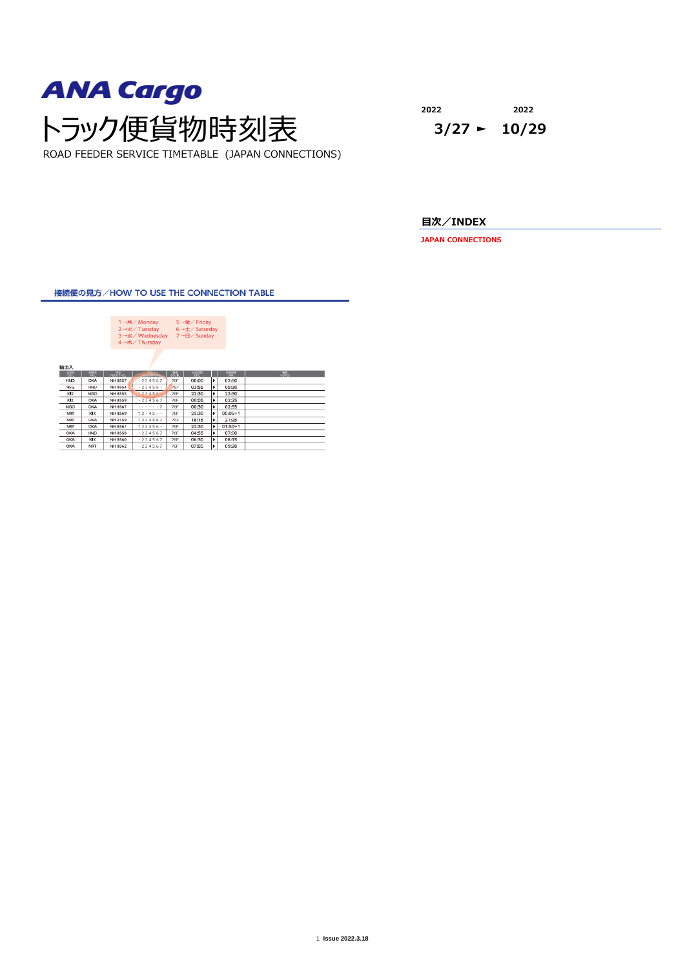

**2022 2022**

**目次/INDEX**

**JAPAN CONNECTIONS**

接続便の見方/HOW TO USE THE CONNECTION TABLE

| 1 →月/ Monday<br>$5 \rightarrow \hat{\mathbf{m}}$ / Friday<br>2→火/ Tuesday<br>$6 \rightarrow \pm \sqrt{5}$ Saturday<br>3→水/Wednesday<br>7→日/ Sunday<br>4→木/Thursday<br>輸出入<br>$rac{1886}{169}$<br>$\frac{122388}{192}$<br>$R = 88$<br><b>PILICE STRE</b><br>点点<br>開催さ<br><b><i>EXPANSIVE</i></b><br>00:00<br>٠<br>02:50<br><b>76F</b><br>HND<br>OKA<br><b>NH 8557</b><br>$-234567$<br>787<br>٠<br>05:30<br>NH 8554<br>$-23456$<br>03:55<br><b>HND</b><br><b>HSG</b><br>٠<br>23:30<br><b>NGO</b><br>123456.<br><b>76F</b><br>22:30<br><b>NH 8555</b><br>кIх<br>$-234567$<br>76F<br>٠<br><b>NH 8559</b><br>00:05<br>02:25<br>кIх<br>OKA<br>. 7<br>٠<br>NH 8567<br><b>76F</b><br>00:30<br>02:55<br><b>NGO</b><br><b>OKA</b><br>$12 - 45$<br>$00:05 + 1$<br>76F<br>22:30<br>٠<br>KIX<br>NH 8569<br><b>NRT</b><br>1234567<br>٠<br>NH 2159<br>763<br>18:15<br>21:25<br><b>NRT</b><br>OKA<br>$123456$ $+$<br>NH 8561<br>76F<br>22:30<br>٠<br>$01:50+1$<br><b>NRT</b><br>OKA<br>.234567<br>٠<br><b>HND</b><br><b>NH 8558</b><br><b>76F</b><br>04:55<br>07:00<br>OKA<br>$+234567$<br>06:30<br>08:15<br>NH 8560<br>76F<br>×<br>OKA<br>ких<br>09:20<br>$-234567$<br>07:05<br>٠<br>76F<br>ОКА<br><b>NRT</b><br>NH 8562 |  |  |  |  |  |  |
|-----------------------------------------------------------------------------------------------------------------------------------------------------------------------------------------------------------------------------------------------------------------------------------------------------------------------------------------------------------------------------------------------------------------------------------------------------------------------------------------------------------------------------------------------------------------------------------------------------------------------------------------------------------------------------------------------------------------------------------------------------------------------------------------------------------------------------------------------------------------------------------------------------------------------------------------------------------------------------------------------------------------------------------------------------------------------------------------------------------------------------------------------------------------------------------------------------------|--|--|--|--|--|--|
| <b>HAT</b>                                                                                                                                                                                                                                                                                                                                                                                                                                                                                                                                                                                                                                                                                                                                                                                                                                                                                                                                                                                                                                                                                                                                                                                                |  |  |  |  |  |  |
|                                                                                                                                                                                                                                                                                                                                                                                                                                                                                                                                                                                                                                                                                                                                                                                                                                                                                                                                                                                                                                                                                                                                                                                                           |  |  |  |  |  |  |
|                                                                                                                                                                                                                                                                                                                                                                                                                                                                                                                                                                                                                                                                                                                                                                                                                                                                                                                                                                                                                                                                                                                                                                                                           |  |  |  |  |  |  |
|                                                                                                                                                                                                                                                                                                                                                                                                                                                                                                                                                                                                                                                                                                                                                                                                                                                                                                                                                                                                                                                                                                                                                                                                           |  |  |  |  |  |  |
|                                                                                                                                                                                                                                                                                                                                                                                                                                                                                                                                                                                                                                                                                                                                                                                                                                                                                                                                                                                                                                                                                                                                                                                                           |  |  |  |  |  |  |
|                                                                                                                                                                                                                                                                                                                                                                                                                                                                                                                                                                                                                                                                                                                                                                                                                                                                                                                                                                                                                                                                                                                                                                                                           |  |  |  |  |  |  |
|                                                                                                                                                                                                                                                                                                                                                                                                                                                                                                                                                                                                                                                                                                                                                                                                                                                                                                                                                                                                                                                                                                                                                                                                           |  |  |  |  |  |  |
|                                                                                                                                                                                                                                                                                                                                                                                                                                                                                                                                                                                                                                                                                                                                                                                                                                                                                                                                                                                                                                                                                                                                                                                                           |  |  |  |  |  |  |
|                                                                                                                                                                                                                                                                                                                                                                                                                                                                                                                                                                                                                                                                                                                                                                                                                                                                                                                                                                                                                                                                                                                                                                                                           |  |  |  |  |  |  |
|                                                                                                                                                                                                                                                                                                                                                                                                                                                                                                                                                                                                                                                                                                                                                                                                                                                                                                                                                                                                                                                                                                                                                                                                           |  |  |  |  |  |  |
|                                                                                                                                                                                                                                                                                                                                                                                                                                                                                                                                                                                                                                                                                                                                                                                                                                                                                                                                                                                                                                                                                                                                                                                                           |  |  |  |  |  |  |
|                                                                                                                                                                                                                                                                                                                                                                                                                                                                                                                                                                                                                                                                                                                                                                                                                                                                                                                                                                                                                                                                                                                                                                                                           |  |  |  |  |  |  |
|                                                                                                                                                                                                                                                                                                                                                                                                                                                                                                                                                                                                                                                                                                                                                                                                                                                                                                                                                                                                                                                                                                                                                                                                           |  |  |  |  |  |  |
|                                                                                                                                                                                                                                                                                                                                                                                                                                                                                                                                                                                                                                                                                                                                                                                                                                                                                                                                                                                                                                                                                                                                                                                                           |  |  |  |  |  |  |